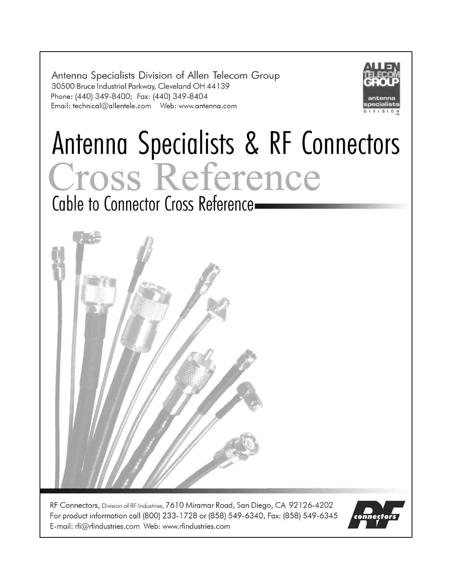Antenna Specialists Division of Allen Telecom Group 30500 Bruce Industrial Parkway, Cleveland OH 44139 Phone: (440) 349-8400; Fax: (440) 349-8404 



# Antenna Specialists & RF Connectors Cross Reference

Cable to Connector Cross Reference-



RF Connectors, Division of RF Industries, 7610 Miramar Road, San Diego, CA 92126-4202 For product information call (800) 233-1728 or (858) 549-6340, Fax: (858) 549-6345 E-mail: rfi@rfindustries.com Web: www.rfindustries.com

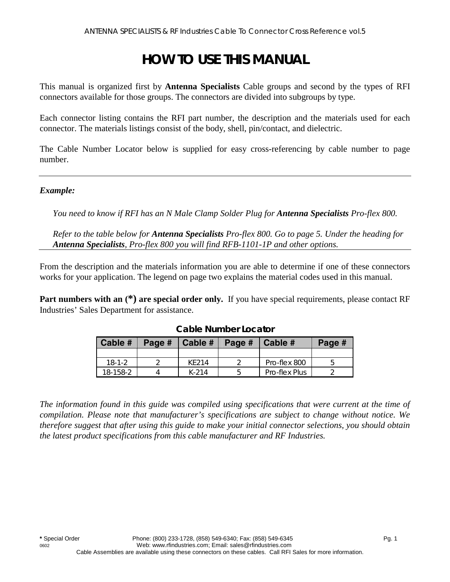## **HOW TO USE THIS MANUAL**

This manual is organized first by **Antenna Specialists** Cable groups and second by the types of RFI connectors available for those groups. The connectors are divided into subgroups by type.

Each connector listing contains the RFI part number, the description and the materials used for each connector. The materials listings consist of the body, shell, pin/contact, and dielectric.

The Cable Number Locator below is supplied for easy cross-referencing by cable number to page number.

#### *Example:*

*You need to know if RFI has an N Male Clamp Solder Plug for <i>Antenna Specialists Pro-flex 800.* 

*Refer to the table below for Antenna Specialists Pro-flex 800. Go to page 5. Under the heading for Antenna Specialists, Pro-flex 800 you will find RFB-1101-1P and other options.* 

From the description and the materials information you are able to determine if one of these connectors works for your application. The legend on page two explains the material codes used in this manual.

**Part numbers with an**  $(*)$  **are special order only.** If you have special requirements, please contact RF Industries' Sales Department for assistance.

| Cable #  | Page # | $ $ Cable $#$ $ $ | Page $\#$ Cable $\#$ |               | Page # |
|----------|--------|-------------------|----------------------|---------------|--------|
|          |        |                   |                      |               |        |
| $18-1-2$ |        | KF214             |                      | Pro-flex 800  |        |
| 18-158-2 |        | $K-214$           |                      | Pro-flex Plus |        |

#### **Cable Number Locator**

*The information found in this guide was compiled using specifications that were current at the time of compilation. Please note that manufacturer's specifications are subject to change without notice. We therefore suggest that after using this guide to make your initial connector selections, you should obtain the latest product specifications from this cable manufacturer and RF Industries.*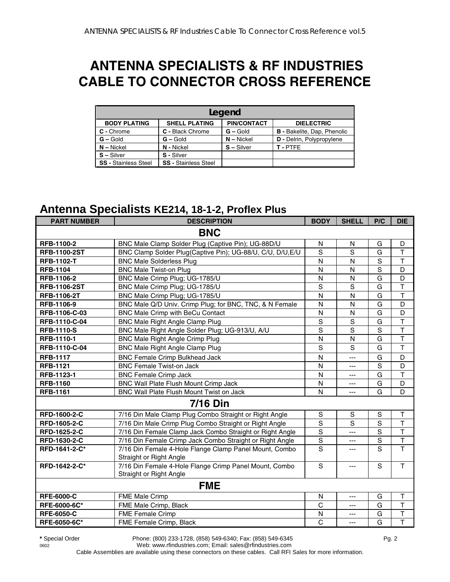## **ANTENNA SPECIALISTS & RF INDUSTRIES CABLE TO CONNECTOR CROSS REFERENCE**

|                             | Legend                      |                    |                                    |  |  |  |  |
|-----------------------------|-----------------------------|--------------------|------------------------------------|--|--|--|--|
| <b>BODY PLATING</b>         | <b>SHELL PLATING</b>        | <b>PIN/CONTACT</b> | <b>DIELECTRIC</b>                  |  |  |  |  |
| C - Chrome                  | C - Black Chrome            | $G -$ Gold         | <b>B</b> - Bakelite, Dap, Phenolic |  |  |  |  |
| $G - Gold$                  | $G -$ Gold                  | $N -$ Nickel       | D - Delrin, Polypropylene          |  |  |  |  |
| $N -$ Nickel                | N - Nickel                  | $S - Silver$       | T-PTFF                             |  |  |  |  |
| $S - Silver$                | S - Silver                  |                    |                                    |  |  |  |  |
| <b>SS - Stainless Steel</b> | <b>SS</b> - Stainless Steel |                    |                                    |  |  |  |  |

#### **Antenna Specialists KE214, 18-1-2, Proflex Plus**

| <b>PART NUMBER</b>  | <b>DESCRIPTION</b>                                                                | <b>BODY</b>    | <b>SHELL</b>   | P/C                     | <b>DIE</b>              |
|---------------------|-----------------------------------------------------------------------------------|----------------|----------------|-------------------------|-------------------------|
|                     | <b>BNC</b>                                                                        |                |                |                         |                         |
| RFB-1100-2          | BNC Male Clamp Solder Plug (Captive Pin); UG-88D/U                                | N              | N              | G                       | D                       |
| <b>RFB-1100-2ST</b> | BNC Clamp Solder Plug(Captive Pin); UG-88/U, C/U, D/U, E/U                        | S              | S              | G                       | $\mathsf T$             |
| <b>RFB-1102-T</b>   | <b>BNC Male Solderless Plug</b>                                                   | N              | N              | S                       | T                       |
| <b>RFB-1104</b>     | <b>BNC Male Twist-on Plug</b>                                                     | N              | N              | $\mathbf S$             | D                       |
| RFB-1106-2          | BNC Male Crimp Plug; UG-1785/U                                                    | N              | N              | $\overline{\mathsf{G}}$ | $\overline{D}$          |
| <b>RFB-1106-2ST</b> | BNC Male Crimp Plug; UG-1785/U                                                    | $\overline{s}$ | S              | G                       | $\overline{\mathsf{T}}$ |
| <b>RFB-1106-2T</b>  | BNC Male Crimp Plug; UG-1785/U                                                    | N              | N              | G                       | $\overline{\mathsf{T}}$ |
| RFB-1106-9          | BNC Male Q/D Univ. Crimp Plug; for BNC, TNC, & N Female                           | N              | N              | G                       | D                       |
| RFB-1106-C-03       | BNC Male Crimp with BeCu Contact                                                  | ${\sf N}$      | N              | G                       | D                       |
| RFB-1110-C-04       | <b>BNC Male Right Angle Clamp Plug</b>                                            | $\mathbf S$    | S              | G                       | $\overline{\mathsf{T}}$ |
| <b>RFB-1110-S</b>   | BNC Male Right Angle Solder Plug; UG-913/U, A/U                                   | S              | S              | S                       | $\mathsf T$             |
| RFB-1110-1          | <b>BNC Male Right Angle Crimp Plug</b>                                            | N              | N              | G                       | $\overline{\mathsf{T}}$ |
| RFB-1110-C-04       | <b>BNC Male Right Angle Clamp Plug</b>                                            | S              | S              | G                       | $\mathsf{T}$            |
| <b>RFB-1117</b>     | <b>BNC Female Crimp Bulkhead Jack</b>                                             | N              | ---            | G                       | D                       |
| <b>RFB-1121</b>     | <b>BNC Female Twist-on Jack</b>                                                   | N              | ---            | S                       | $\overline{D}$          |
| RFB-1123-1          | <b>BNC Female Crimp Jack</b>                                                      | N              | ---            | G                       | $\overline{\mathsf{T}}$ |
| <b>RFB-1160</b>     | BNC Wall Plate Flush Mount Crimp Jack                                             | N              | ---            | G                       | D                       |
| <b>RFB-1161</b>     | BNC Wall Plate Flush Mount Twist on Jack                                          | N              | ---            | G                       | $\mathsf{D}$            |
|                     | <b>7/16 Din</b>                                                                   |                |                |                         |                         |
| RFD-1600-2-C        | 7/16 Din Male Clamp Plug Combo Straight or Right Angle                            | ${\mathsf S}$  | S              | S                       | Т                       |
| <b>RFD-1605-2-C</b> | 7/16 Din Male Crimp Plug Combo Straight or Right Angle                            | $\mathbf S$    | $\mathbf S$    | S                       | $\mathsf T$             |
| RFD-1625-2-C        | 7/16 Din Female Clamp Jack Combo Straight or Right Angle                          | $\mathbf S$    | ---            | $\mathbf S$             | T                       |
| RFD-1630-2-C        | 7/16 Din Female Crimp Jack Combo Straight or Right Angle                          | $\overline{s}$ | $---$          | S                       | $\overline{\mathsf{T}}$ |
| RFD-1641-2-C*       | 7/16 Din Female 4-Hole Flange Clamp Panel Mount, Combo<br>Straight or Right Angle | S              | ---            | S                       | $\mathsf{T}$            |
| RFD-1642-2-C*       | 7/16 Din Female 4-Hole Flange Crimp Panel Mount, Combo<br>Straight or Right Angle | S              | ---            | S                       | $\overline{1}$          |
|                     | <b>FME</b>                                                                        |                |                |                         |                         |
| <b>RFE-6000-C</b>   | <b>FME Male Crimp</b>                                                             | N              | $\overline{a}$ | G                       | $\mathsf{T}$            |
| RFE-6000-6C*        | FME Male Crimp, Black                                                             | C              | $---$          | G                       | $\mathsf T$             |
| <b>RFE-6050-C</b>   | FME Female Crimp                                                                  | N              | ---            | G                       | T                       |
| RFE-6050-6C*        | FME Female Crimp, Black                                                           | $\mathsf{C}$   | ---            | G                       | $\overline{\mathsf{T}}$ |

**\*** Special Order Phone: (800) 233-1728, (858) 549-6340; Fax: (858) 549-6345 Pg. 2 0602 Web: www.rfindustries.com; Email: sales@rfindustries.com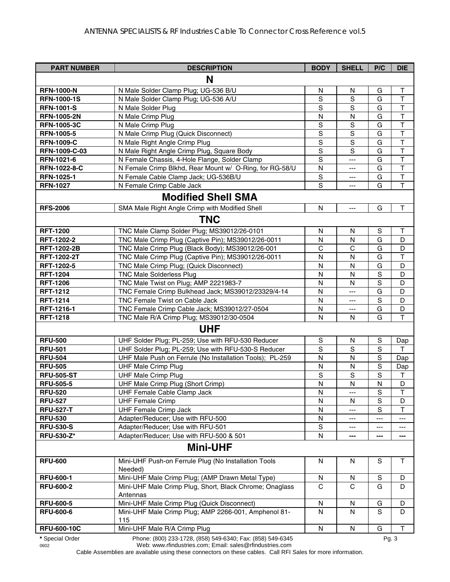| <b>PART NUMBER</b> | <b>DESCRIPTION</b>                                                  | <b>BODY</b>    | <b>SHELL</b>          | P/C         | <b>DIE</b>              |
|--------------------|---------------------------------------------------------------------|----------------|-----------------------|-------------|-------------------------|
|                    | N                                                                   |                |                       |             |                         |
| <b>RFN-1000-N</b>  | N Male Solder Clamp Plug; UG-536 B/U                                | N              | N                     | G           | $\mathsf T$             |
| <b>RFN-1000-1S</b> | N Male Solder Clamp Plug; UG-536 A/U                                | S              | S                     | G           | $\mathsf{T}$            |
| <b>RFN-1001-S</b>  | N Male Solder Plug                                                  | S              | S                     | G           | $\mathsf T$             |
| <b>RFN-1005-2N</b> | N Male Crimp Plug                                                   | N              | N                     | G           | $\mathsf{T}$            |
| <b>RFN-1005-3C</b> | N Male Crimp Plug                                                   | $\mathbf S$    | ${\mathsf S}$         | G           | $\top$                  |
| <b>RFN-1005-5</b>  | N Male Crimp Plug (Quick Disconnect)                                | $\mathbb S$    | S                     | G           | $\mathsf T$             |
| <b>RFN-1009-C</b>  | N Male Right Angle Crimp Plug                                       | $\mathbf S$    | $\mathbf S$           | G           | $\overline{\mathsf{T}}$ |
| RFN-1009-C-03      | N Male Right Angle Crimp Plug, Square Body                          | $\mathbf S$    | S                     | G           | $\mathsf T$             |
| RFN-1021-6         | N Female Chassis, 4-Hole Flange, Solder Clamp                       | $\mathbf S$    | $---$                 | G           | $\top$                  |
| RFN-1022-8-C       | N Female Crimp Blkhd, Rear Mount w/ O-Ring, for RG-58/U             | N              | ---                   | G           | $\top$                  |
| RFN-1025-1         | N Female Cable Clamp Jack; UG-536B/U                                | $\mathbf S$    | $\qquad \qquad -$     | G           | $\mathsf T$             |
| <b>RFN-1027</b>    | N Female Crimp Cable Jack                                           | $\overline{s}$ | ---                   | G           | $\mathsf{T}$            |
|                    | <b>Modified Shell SMA</b>                                           |                |                       |             |                         |
| <b>RFS-2006</b>    | SMA Male Right Angle Crimp with Modified Shell                      | N              | $\scriptstyle \cdots$ | G           | T                       |
|                    | <b>TNC</b>                                                          |                |                       |             |                         |
| <b>RFT-1200</b>    | TNC Male Clamp Solder Plug; MS39012/26-0101                         | N              | N                     | $\mathbb S$ | $\top$                  |
| RFT-1202-2         | TNC Male Crimp Plug (Captive Pin); MS39012/26-0011                  | N              | N                     | G           | D                       |
| <b>RFT-1202-2B</b> | TNC Male Crimp Plug (Black Body); MS39012/26-001                    | C              | $\mathsf{C}$          | G           | D                       |
| RFT-1202-2T        | TNC Male Crimp Plug (Captive Pin); MS39012/26-0011                  | N              | N                     | G           | $\top$                  |
| RFT-1202-5         | TNC Male Crimp Plug; (Quick Disconnect)                             | N              | N                     | G           | D                       |
| <b>RFT-1204</b>    | <b>TNC Male Solderless Plug</b>                                     | N              | N                     | $\mathbf S$ | D                       |
| <b>RFT-1206</b>    | TNC Male Twist on Plug; AMP 2221983-7                               | N              | N                     | S           | D                       |
| <b>RFT-1212</b>    | TNC Female Crimp Bulkhead Jack; MS39012/23329/4-14                  | $\mathsf{N}$   | ---                   | G           | D                       |
| <b>RFT-1214</b>    | TNC Female Twist on Cable Jack                                      | N              | $\qquad \qquad -$     | S           | D                       |
| RFT-1216-1         | TNC Female Crimp Cable Jack; MS39012/27-0504                        | ${\sf N}$      | ---                   | G           | D                       |
| <b>RFT-1218</b>    | TNC Male R/A Crimp Plug; MS39012/30-0504                            | N              | N                     | G           | $\mathsf{T}$            |
|                    | <b>UHF</b>                                                          |                |                       |             |                         |
| <b>RFU-500</b>     | UHF Solder Plug; PL-259; Use with RFU-530 Reducer                   | S              | N                     | S           | Dap                     |
| <b>RFU-501</b>     | UHF Solder Plug; PL-259; Use with RFU-530-S Reducer                 | S              | S                     | S           | $\mathsf{T}$            |
| <b>RFU-504</b>     | UHF Male Push on Ferrule (No Installation Tools); PL-259            | N              | N                     | S           | Dap                     |
| <b>RFU-505</b>     | <b>UHF Male Crimp Plug</b>                                          | N              | N                     | S           | Dap                     |
| <b>RFU-505-ST</b>  | <b>UHF Male Crimp Plug</b>                                          | $\mathsf S$    | S                     | S           | T                       |
| <b>RFU-505-5</b>   | UHF Male Crimp Plug (Short Crimp)                                   | N              | $\mathsf{N}$          | N           | D                       |
| <b>RFU-520</b>     | UHF Female Cable Clamp Jack                                         | N              | $---$                 | S           | J.                      |
| <b>RFU-527</b>     | <b>UHF Female Crimp</b>                                             | N              | N                     | S           | D                       |
| <b>RFU-527-T</b>   | <b>UHF Female Crimp Jack</b>                                        | N              |                       | S           | Т                       |
| <b>RFU-530</b>     | Adapter/Reducer; Use with RFU-500                                   | N              |                       | ---         | ---                     |
| <b>RFU-530-S</b>   | Adapter/Reducer; Use with RFU-501                                   | S              | ---                   | ---         | ---                     |
| <b>RFU-530-Z*</b>  | Adapter/Reducer; Use with RFU-500 & 501                             | N              | ---                   | ---         | ---                     |
|                    | <b>Mini-UHF</b>                                                     |                |                       |             |                         |
| <b>RFU-600</b>     | Mini-UHF Push-on Ferrule Plug (No Installation Tools<br>Needed)     | N              | N                     | S           | $\mathsf{T}$            |
| <b>RFU-600-1</b>   | Mini-UHF Male Crimp Plug; (AMP Drawn Metal Type)                    | N              | N                     | S           | D                       |
| <b>RFU-600-2</b>   | Mini-UHF Male Crimp Plug, Short, Black Chrome; Onaglass<br>Antennas | C              | C                     | G           | D                       |
| <b>RFU-600-5</b>   | Mini-UHF Male Crimp Plug (Quick Disconnect)                         | N              | N                     | G           | D                       |
| <b>RFU-600-6</b>   | Mini-UHF Male Crimp Plug; AMP 2266-001, Amphenol 81-<br>115         | N              | N                     | S           | D                       |
| <b>RFU-600-10C</b> | Mini-UHF Male R/A Crimp Plug                                        | ${\sf N}$      | ${\sf N}$             | G           | T                       |
| * Special Order    | Phone: (800) 233-1728, (858) 549-6340; Fax: (858) 549-6345          |                |                       |             | Pg. 3                   |

0602 Web: www.rfindustries.com; Email: sales@rfindustries.com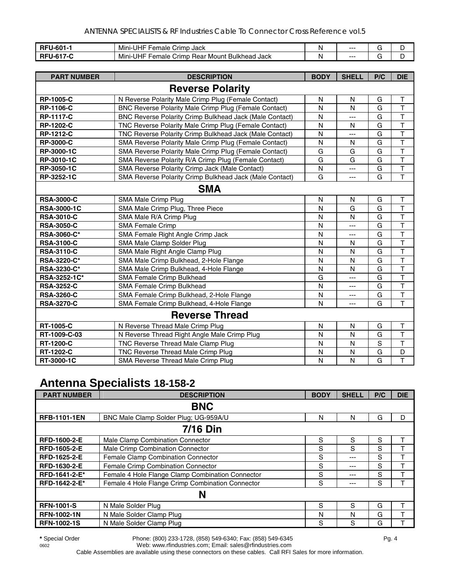| <b>RFI'</b><br>-0U<br>- 15 | -<br>. .<br>JHI<br>Jack<br>Crimp<br>-emale<br>Mini-                                            | N | ---  |   |  |
|----------------------------|------------------------------------------------------------------------------------------------|---|------|---|--|
| RFI                        | -<br><b>Mount Bulkhead</b><br>. .<br>JHI<br>' Jack<br><b>Rear</b><br>-emale<br>Crimp<br>Mini-1 | N | $--$ | - |  |

| <b>PART NUMBER</b> | <b>DESCRIPTION</b>                                      | <b>BODY</b>  | <b>SHELL</b> | P/C | <b>DIE</b>              |
|--------------------|---------------------------------------------------------|--------------|--------------|-----|-------------------------|
|                    | <b>Reverse Polarity</b>                                 |              |              |     |                         |
| <b>RP-1005-C</b>   | N Reverse Polarity Male Crimp Plug (Female Contact)     | N            | N            | G   | $\mathsf T$             |
| <b>RP-1106-C</b>   | BNC Reverse Polarity Male Crimp Plug (Female Contact)   | N            | N            | G   | $\top$                  |
| <b>RP-1117-C</b>   | BNC Reverse Polarity Crimp Bulkhead Jack (Male Contact) | N            | ---          | G   | $\overline{\mathsf{T}}$ |
| <b>RP-1202-C</b>   | TNC Reverse Polarity Male Crimp Plug (Female Contact)   | N            | N            | G   | $\mathsf{T}$            |
| <b>RP-1212-C</b>   | TNC Reverse Polarity Crimp Bulkhead Jack (Male Contact) | N            | ---          | G   | $\mathsf{T}$            |
| <b>RP-3000-C</b>   | SMA Reverse Polarity Male Crimp Plug (Female Contact)   | N            | N            | G   | $\overline{\mathsf{T}}$ |
| RP-3000-1C         | SMA Reverse Polarity Male Crimp Plug (Female Contact)   | G            | G            | G   | T                       |
| RP-3010-1C         | SMA Reverse Polarity R/A Crimp Plug (Female Contact)    | G            | G            | G   | $\overline{\mathsf{T}}$ |
| RP-3050-1C         | SMA Reverse Polarity Crimp Jack (Male Contact)          | N            | ---          | G   | $\overline{\mathsf{T}}$ |
| RP-3252-1C         | SMA Reverse Polarity Crimp Bulkhead Jack (Male Contact) | G            | $---$        | G   | T                       |
|                    | <b>SMA</b>                                              |              |              |     |                         |
| <b>RSA-3000-C</b>  | <b>SMA Male Crimp Plug</b>                              | $\mathsf{N}$ | N            | G   | $\mathsf T$             |
| <b>RSA-3000-1C</b> | SMA Male Crimp Plug, Three Piece                        | N            | G            | G   | $\mathsf{T}$            |
| <b>RSA-3010-C</b>  | SMA Male R/A Crimp Plug                                 | N            | N            | G   | T                       |
| <b>RSA-3050-C</b>  | <b>SMA Female Crimp</b>                                 | N            | ---          | G   | T                       |
| RSA-3060-C*        | SMA Female Right Angle Crimp Jack                       | N            | $---$        | G   | $\overline{\mathsf{T}}$ |
| <b>RSA-3100-C</b>  | SMA Male Clamp Solder Plug                              | N            | N            | G   | $\overline{\mathsf{T}}$ |
| <b>RSA-3110-C</b>  | SMA Male Right Angle Clamp Plug                         | N            | N            | G   | $\overline{\mathsf{T}}$ |
| RSA-3220-C*        | SMA Male Crimp Bulkhead, 2-Hole Flange                  | N            | N            | G   | $\overline{\mathsf{T}}$ |
| RSA-3230-C*        | SMA Male Crimp Bulkhead, 4-Hole Flange                  | N            | N            | G   | T                       |
| RSA-3252-1C*       | SMA Female Crimp Bulkhead                               | G            | ---          | G   | $\overline{\mathsf{T}}$ |
| <b>RSA-3252-C</b>  | SMA Female Crimp Bulkhead                               | N            | ---          | G   | $\overline{\mathsf{T}}$ |
| <b>RSA-3260-C</b>  | SMA Female Crimp Bulkhead, 2-Hole Flange                | N            | ---          | G   | $\mathsf{T}$            |
| <b>RSA-3270-C</b>  | SMA Female Crimp Bulkhead, 4-Hole Flange                | N            | $---$        | G   | $\mathsf{T}$            |
|                    | <b>Reverse Thread</b>                                   |              |              |     |                         |
| <b>RT-1005-C</b>   | N Reverse Thread Male Crimp Plug                        | N            | N            | G   | $\top$                  |
| RT-1009-C-03       | N Reverse Thread Right Angle Male Crimp Plug            | N            | N            | G   | $\mathsf{T}$            |
| <b>RT-1200-C</b>   | TNC Reverse Thread Male Clamp Plug                      | N            | N            | S   | $\overline{\mathsf{T}}$ |
| <b>RT-1202-C</b>   | TNC Reverse Thread Male Crimp Plug                      | N            | N            | G   | D                       |
| RT-3000-1C         | SMA Reverse Thread Male Crimp Plug                      | N            | N            | G   | T                       |

### **Antenna Specialists 18-158-2**

| <b>PART NUMBER</b>  | <b>DESCRIPTION</b>                               | <b>BODY</b> | <b>SHELL</b> | P/C | <b>DIE</b> |
|---------------------|--------------------------------------------------|-------------|--------------|-----|------------|
|                     | <b>BNC</b>                                       |             |              |     |            |
| <b>RFB-1101-1EN</b> | BNC Male Clamp Solder Plug; UG-959A/U            | N           | N            | G   | D          |
|                     | <b>7/16 Din</b>                                  |             |              |     |            |
| RFD-1600-2-E        | Male Clamp Combination Connector                 | S           | S            | S   | т          |
| <b>RFD-1605-2-E</b> | Male Crimp Combination Connector                 | S           | S            | S   |            |
| RFD-1625-2-E        | Female Clamp Combination Connector               | S           | ---          | S   |            |
| RFD-1630-2-E        | Female Crimp Combination Connector               | S           | ---          | S   | т          |
| RFD-1641-2-E*       | Female 4 Hole Flange Clamp Combination Connector | S           | ---          | S   |            |
| RFD-1642-2-E*       | Female 4 Hole Flange Crimp Combination Connector | S           | $---$        | S   |            |
|                     | N                                                |             |              |     |            |
| <b>RFN-1001-S</b>   | N Male Solder Plug                               | S           | S            | G   | T          |
| <b>RFN-1002-1N</b>  | N Male Solder Clamp Plug                         | N           | N            | G   | т          |
| <b>RFN-1002-1S</b>  | N Male Solder Clamp Plug                         | S           | S            | G   |            |

**\*** Special Order Phone: (800) 233-1728, (858) 549-6340; Fax: (858) 549-6345 Pg. 4 Web: www.rfindustries.com; Email: sales@rfindustries.com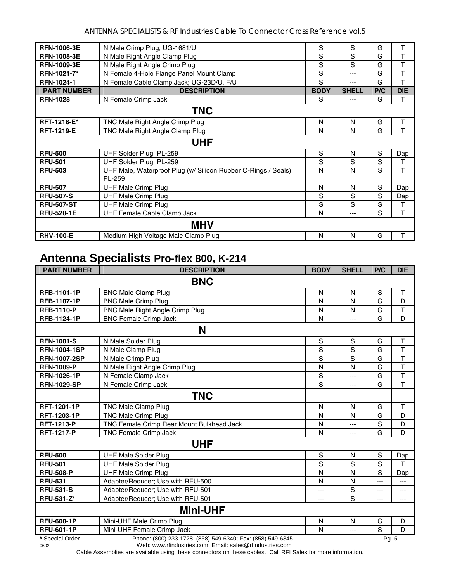ANTENNA SPECIALISTS & RF Industries Cable To Connector Cross Reference vol.5

| <b>RFN-1006-3E</b> | N Male Crimp Plug; UG-1681/U                                   | S           | S            | G   | т          |  |
|--------------------|----------------------------------------------------------------|-------------|--------------|-----|------------|--|
| <b>RFN-1008-3E</b> | N Male Right Angle Clamp Plug                                  | S           | S            | G   | т          |  |
| <b>RFN-1009-3E</b> | N Male Right Angle Crimp Plug                                  | S           | S            | G   | т          |  |
| RFN-1021-7*        | N Female 4-Hole Flange Panel Mount Clamp                       | S           | ---          | G   | T          |  |
| <b>RFN-1024-1</b>  | N Female Cable Clamp Jack; UG-23D/U, F/U                       | S           | ---          | G   | T          |  |
| <b>PART NUMBER</b> | <b>DESCRIPTION</b>                                             | <b>BODY</b> | <b>SHELL</b> | P/C | <b>DIE</b> |  |
| <b>RFN-1028</b>    | N Female Crimp Jack                                            | S           | ---          | G   | т          |  |
| <b>TNC</b>         |                                                                |             |              |     |            |  |
| RFT-1218-E*        | TNC Male Right Angle Crimp Plug                                | N           | N            | G   | T          |  |
| <b>RFT-1219-E</b>  | TNC Male Right Angle Clamp Plug                                | N           | N            | G   | Т          |  |
| <b>UHF</b>         |                                                                |             |              |     |            |  |
| <b>RFU-500</b>     | UHF Solder Plug; PL-259                                        | S           | N            | S   | Dap        |  |
| <b>RFU-501</b>     | UHF Solder Plug; PL-259                                        | S           | S            | S   | т          |  |
| <b>RFU-503</b>     | UHF Male, Waterproof Plug (w/ Silicon Rubber O-Rings / Seals); | N           | N            | S   | Т          |  |
|                    | PL-259                                                         |             |              |     |            |  |
| <b>RFU-507</b>     | <b>UHF Male Crimp Plug</b>                                     | N           | N            | S   | Dap        |  |
| <b>RFU-507-S</b>   | <b>UHF Male Crimp Plug</b>                                     | S           | S            | S   | Dap        |  |
| <b>RFU-507-ST</b>  | <b>UHF Male Crimp Plug</b>                                     | S           | S            | S   | Τ          |  |
| <b>RFU-520-1E</b>  | <b>UHF Female Cable Clamp Jack</b>                             | N           | ---          | S   | T          |  |
|                    | <b>MHV</b>                                                     |             |              |     |            |  |
| <b>RHV-100-E</b>   | Medium High Voltage Male Clamp Plug                            | N           | N            | G   | т          |  |

#### **Antenna Specialists Pro-flex 800, K-214**

| <b>PART NUMBER</b>  | <b>DESCRIPTION</b>                                         | <b>BODY</b>    | <b>SHELL</b>   | P/C            | <b>DIE</b>              |  |  |
|---------------------|------------------------------------------------------------|----------------|----------------|----------------|-------------------------|--|--|
|                     | <b>BNC</b>                                                 |                |                |                |                         |  |  |
| RFB-1101-1P         | <b>BNC Male Clamp Plug</b>                                 | N              | N              | S              | $\mathsf T$             |  |  |
| RFB-1107-1P         | <b>BNC Male Crimp Plug</b>                                 | N              | N              | G              | D                       |  |  |
| <b>RFB-1110-P</b>   | <b>BNC Male Right Angle Crimp Plug</b>                     | N              | N              | G              | $\top$                  |  |  |
| <b>RFB-1124-1P</b>  | <b>BNC Female Crimp Jack</b>                               | N              | ---            | G              | D                       |  |  |
|                     | N                                                          |                |                |                |                         |  |  |
| <b>RFN-1001-S</b>   | N Male Solder Plug                                         | ${\mathsf S}$  | $\mathbf S$    | G              | $\mathsf T$             |  |  |
| <b>RFN-1004-1SP</b> | N Male Clamp Plug                                          | $\overline{s}$ | $\overline{s}$ | G              | $\overline{\mathsf{T}}$ |  |  |
| <b>RFN-1007-2SP</b> | N Male Crimp Plug                                          | S              | S              | G              | $\overline{\mathsf{T}}$ |  |  |
| <b>RFN-1009-P</b>   | N Male Right Angle Crimp Plug                              | N              | $\mathsf{N}$   | G              | $\overline{\mathsf{T}}$ |  |  |
| <b>RFN-1026-1P</b>  | N Female Clamp Jack                                        | S              | $\overline{a}$ | G              | $\overline{\mathsf{T}}$ |  |  |
| <b>RFN-1029-SP</b>  | N Female Crimp Jack                                        | $\overline{s}$ | $---$          | G              | $\overline{\mathsf{T}}$ |  |  |
|                     | <b>TNC</b>                                                 |                |                |                |                         |  |  |
| <b>RFT-1201-1P</b>  | <b>TNC Male Clamp Plug</b>                                 | N              | N              | G              | $\mathsf{T}$            |  |  |
| <b>RFT-1203-1P</b>  | <b>TNC Male Crimp Plug</b>                                 | N              | N              | G              | D                       |  |  |
| <b>RFT-1213-P</b>   | TNC Female Crimp Rear Mount Bulkhead Jack                  | N              | $---$          | S              | D                       |  |  |
| <b>RFT-1217-P</b>   | TNC Female Crimp Jack                                      | N              | $\cdots$       | G              | D                       |  |  |
|                     | <b>UHF</b>                                                 |                |                |                |                         |  |  |
| <b>RFU-500</b>      | <b>UHF Male Solder Plug</b>                                | S              | N              | $\mathbf S$    | Dap                     |  |  |
| <b>RFU-501</b>      | <b>UHF Male Solder Plug</b>                                | $\overline{s}$ | S              | $\overline{s}$ | T                       |  |  |
| <b>RFU-508-P</b>    | <b>UHF Male Crimp Plug</b>                                 | N              | N              | S              | Dap                     |  |  |
| <b>RFU-531</b>      | Adapter/Reducer; Use with RFU-500                          | N              | N              | ---            | ---                     |  |  |
| <b>RFU-531-S</b>    | Adapter/Reducer; Use with RFU-501                          | ---            | S              | ---            | ---                     |  |  |
| RFU-531-Z*          | Adapter/Reducer; Use with RFU-501                          | ---            | S              | ---            | ---                     |  |  |
|                     | <b>Mini-UHF</b>                                            |                |                |                |                         |  |  |
| <b>RFU-600-1P</b>   | Mini-UHF Male Crimp Plug                                   | N              | N              | G              | D                       |  |  |
| <b>RFU-601-1P</b>   | Mini-UHF Female Crimp Jack                                 | N              | $---$          | S              | D                       |  |  |
| * Special Order     | Phone: (800) 233-1728, (858) 549-6340; Fax: (858) 549-6345 |                |                | Pg. 5          |                         |  |  |

0602 Web: www.rfindustries.com; Email: sales@rfindustries.com